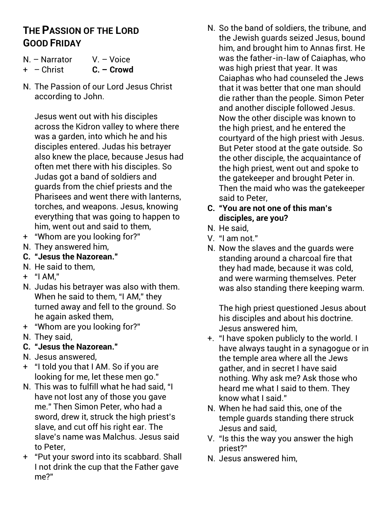## **THEPASSION OF THE LORD GOOD FRIDAY**

- N. Narrator V. Voice
- + Christ **C. – Crowd**
- N. The Passion of our Lord Jesus Christ according to John.

Jesus went out with his disciples across the Kidron valley to where there was a garden, into which he and his disciples entered. Judas his betrayer also knew the place, because Jesus had often met there with his disciples. So Judas got a band of soldiers and guards from the chief priests and the Pharisees and went there with lanterns, torches, and weapons. Jesus, knowing everything that was going to happen to him, went out and said to them,

- + "Whom are you looking for?"
- N. They answered him,
- **C. "Jesus the Nazorean."**
- N. He said to them,
- + "I AM,"
- N. Judas his betrayer was also with them. When he said to them, "I AM," they turned away and fell to the ground. So he again asked them,
- + "Whom are you looking for?"
- N. They said,
- **C. "Jesus the Nazorean."**
- N. Jesus answered,
- + "I told you that I AM. So if you are looking for me, let these men go."
- N. This was to fulfill what he had said, "I have not lost any of those you gave me." Then Simon Peter, who had a sword, drew it, struck the high priest's slave, and cut off his right ear. The slave's name was Malchus. Jesus said to Peter,
- + "Put your sword into its scabbard. Shall I not drink the cup that the Father gave me?"
- N. So the band of soldiers, the tribune, and the Jewish guards seized Jesus, bound him, and brought him to Annas first. He was the father-in-law of Caiaphas, who was high priest that year. It was Caiaphas who had counseled the Jews that it was better that one man should die rather than the people. Simon Peter and another disciple followed Jesus. Now the other disciple was known to the high priest, and he entered the courtyard of the high priest with Jesus. But Peter stood at the gate outside. So the other disciple, the acquaintance of the high priest, went out and spoke to the gatekeeper and brought Peter in. Then the maid who was the gatekeeper said to Peter,
- **C. "You are not one of this man's disciples, are you?**
- N. He said,
- V. "I am not."
- N. Now the slaves and the guards were standing around a charcoal fire that they had made, because it was cold, and were warming themselves. Peter was also standing there keeping warm.

The high priest questioned Jesus about his disciples and about his doctrine. Jesus answered him,

- +. "I have spoken publicly to the world. I have always taught in a synagogue or in the temple area where all the Jews gather, and in secret I have said nothing. Why ask me? Ask those who heard me what I said to them. They know what I said."
- N. When he had said this, one of the temple guards standing there struck Jesus and said,
- V. "Is this the way you answer the high priest?"
- N. Jesus answered him,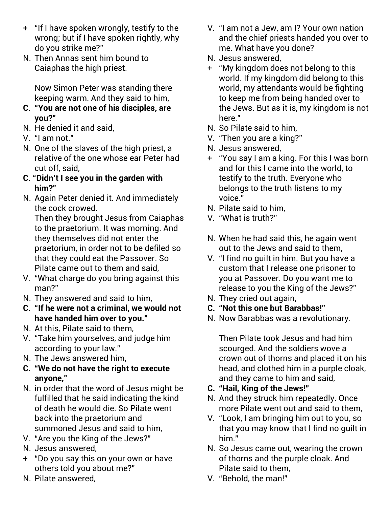- + "If I have spoken wrongly, testify to the wrong; but if I have spoken rightly, why do you strike me?"
- N. Then Annas sent him bound to Caiaphas the high priest.

Now Simon Peter was standing there keeping warm. And they said to him,

- **C. "You are not one of his disciples, are you?"**
- N. He denied it and said,
- V. "I am not."
- N. One of the slaves of the high priest, a relative of the one whose ear Peter had cut off, said,
- **C. "Didn't I see you in the garden with him?"**
- N. Again Peter denied it. And immediately the cock crowed.

Then they brought Jesus from Caiaphas to the praetorium. It was morning. And they themselves did not enter the praetorium, in order not to be defiled so that they could eat the Passover. So Pilate came out to them and said,

- V. "What charge do you bring against this man?"
- N. They answered and said to him,
- **C. "If he were not a criminal, we would not have handed him over to you."**
- N. At this, Pilate said to them,
- V. "Take him yourselves, and judge him according to your law."
- N. The Jews answered him,
- **C. "We do not have the right to execute anyone,"**
- N. in order that the word of Jesus might be fulfilled that he said indicating the kind of death he would die. So Pilate went back into the praetorium and summoned Jesus and said to him,
- V. "Are you the King of the Jews?"
- N. Jesus answered,
- + "Do you say this on your own or have others told you about me?"
- N. Pilate answered,
- V. "I am not a Jew, am I? Your own nation and the chief priests handed you over to me. What have you done?
- N. Jesus answered,
- + "My kingdom does not belong to this world. If my kingdom did belong to this world, my attendants would be fighting to keep me from being handed over to the Jews. But as it is, my kingdom is not here."
- N. So Pilate said to him,
- V. "Then you are a king?"
- N. Jesus answered,
- + "You say I am a king. For this I was born and for this I came into the world, to testify to the truth. Everyone who belongs to the truth listens to my voice."
- N. Pilate said to him,
- V. "What is truth?"
- N. When he had said this, he again went out to the Jews and said to them,
- V. "I find no guilt in him. But you have a custom that I release one prisoner to you at Passover. Do you want me to release to you the King of the Jews?"
- N. They cried out again,
- **C. "Not this one but Barabbas!"**
- N. Now Barabbas was a revolutionary.

Then Pilate took Jesus and had him scourged. And the soldiers wove a crown out of thorns and placed it on his head, and clothed him in a purple cloak, and they came to him and said,

- **C. "Hail, King of the Jews!"**
- N. And they struck him repeatedly. Once more Pilate went out and said to them,
- V. "Look, I am bringing him out to you, so that you may know that I find no guilt in him."
- N. So Jesus came out, wearing the crown of thorns and the purple cloak. And Pilate said to them,
- V. "Behold, the man!"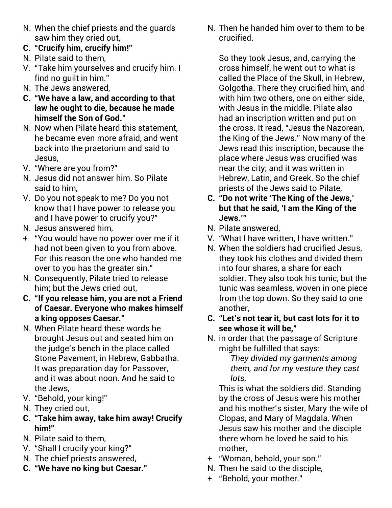- N. When the chief priests and the guards saw him they cried out,
- **C. "Crucify him, crucify him!"**
- N. Pilate said to them,
- V. "Take him yourselves and crucify him. I find no guilt in him."
- N. The Jews answered,
- **C. "We have a law, and according to that law he ought to die, because he made himself the Son of God."**
- N. Now when Pilate heard this statement, he became even more afraid, and went back into the praetorium and said to Jesus,
- V. "Where are you from?"
- N. Jesus did not answer him. So Pilate said to him,
- V. Do you not speak to me? Do you not know that I have power to release you and I have power to crucify you?"
- N. Jesus answered him,
- + "You would have no power over me if it had not been given to you from above. For this reason the one who handed me over to you has the greater sin."
- N. Consequently, Pilate tried to release him; but the Jews cried out,
- **C. "If you release him, you are not a Friend of Caesar. Everyone who makes himself a king opposes Caesar."**
- N. When Pilate heard these words he brought Jesus out and seated him on the judge's bench in the place called Stone Pavement, in Hebrew, Gabbatha. It was preparation day for Passover, and it was about noon. And he said to the Jews,
- V. "Behold, your king!"
- N. They cried out,
- **C. "Take him away, take him away! Crucify him!"**
- N. Pilate said to them,
- V. "Shall I crucify your king?"
- N. The chief priests answered,
- **C. "We have no king but Caesar."**

N. Then he handed him over to them to be crucified.

So they took Jesus, and, carrying the cross himself, he went out to what is called the Place of the Skull, in Hebrew, Golgotha. There they crucified him, and with him two others, one on either side, with Jesus in the middle. Pilate also had an inscription written and put on the cross. It read, "Jesus the Nazorean, the King of the Jews." Now many of the Jews read this inscription, because the place where Jesus was crucified was near the city; and it was written in Hebrew, Latin, and Greek. So the chief priests of the Jews said to Pilate,

- **C. "Do not write 'The King of the Jews,' but that he said, 'I am the King of the Jews.'"**
- N. Pilate answered,
- V. "What I have written, I have written."
- N. When the soldiers had crucified Jesus, they took his clothes and divided them into four shares, a share for each soldier. They also took his tunic, but the tunic was seamless, woven in one piece from the top down. So they said to one another,
- **C. "Let's not tear it, but cast lots for it to see whose it will be,"**
- N. in order that the passage of Scripture might be fulfilled that says:

*They divided my garments among them, and for my vesture they cast lots.*

This is what the soldiers did. Standing by the cross of Jesus were his mother and his mother's sister, Mary the wife of Clopas, and Mary of Magdala. When Jesus saw his mother and the disciple there whom he loved he said to his mother,

- + "Woman, behold, your son."
- N. Then he said to the disciple,
- + "Behold, your mother."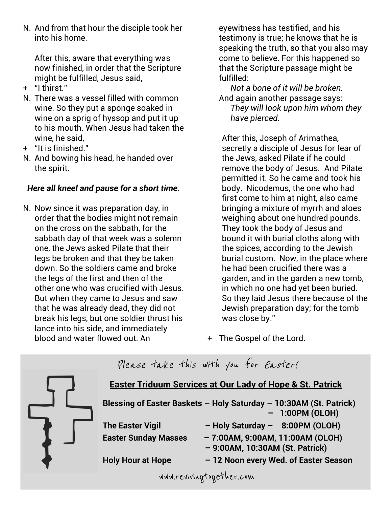N. And from that hour the disciple took her into his home.

After this, aware that everything was now finished, in order that the Scripture might be fulfilled, Jesus said,

- + "I thirst."
- N. There was a vessel filled with common wine. So they put a sponge soaked in wine on a sprig of hyssop and put it up to his mouth. When Jesus had taken the wine, he said,
- + "It is finished."
- N. And bowing his head, he handed over the spirit.

## *Here all kneel and pause for a short time.*

N. Now since it was preparation day, in order that the bodies might not remain on the cross on the sabbath, for the sabbath day of that week was a solemn one, the Jews asked Pilate that their legs be broken and that they be taken down. So the soldiers came and broke the legs of the first and then of the other one who was crucified with Jesus. But when they came to Jesus and saw that he was already dead, they did not break his legs, but one soldier thrust his lance into his side, and immediately blood and water flowed out. An

eyewitness has testified, and his testimony is true; he knows that he is speaking the truth, so that you also may come to believe. For this happened so that the Scripture passage might be fulfilled:

*Not a bone of it will be broken.* And again another passage says:

*They will look upon him whom they have pierced.*

After this, Joseph of Arimathea, secretly a disciple of Jesus for fear of the Jews, asked Pilate if he could remove the body of Jesus. And Pilate permitted it. So he came and took his body. Nicodemus, the one who had first come to him at night, also came bringing a mixture of myrrh and aloes weighing about one hundred pounds. They took the body of Jesus and bound it with burial cloths along with the spices, according to the Jewish burial custom. Now, in the place where he had been crucified there was a garden, and in the garden a new tomb, in which no one had yet been buried. So they laid Jesus there because of the Jewish preparation day; for the tomb was close by."

+ The Gospel of the Lord.